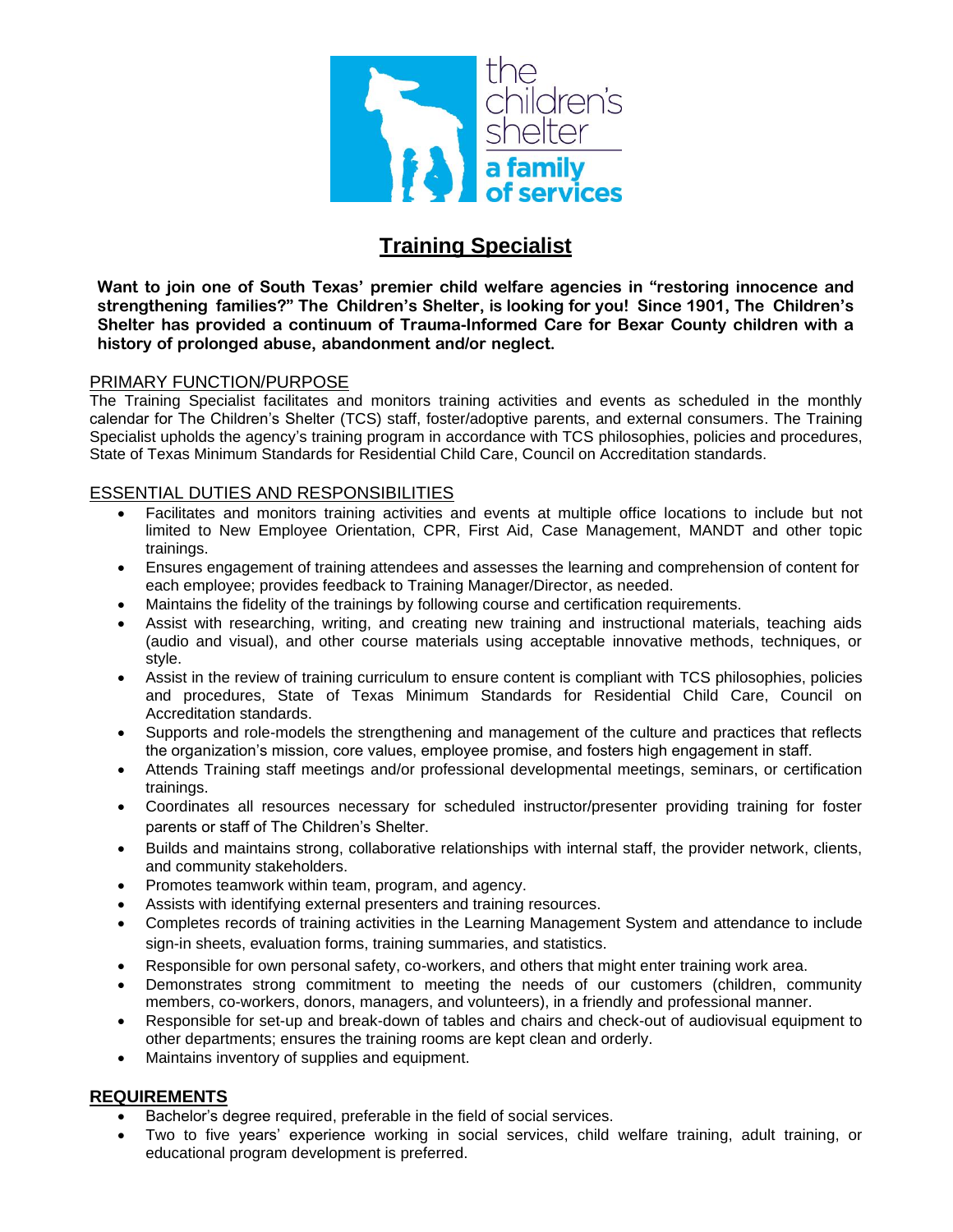

# **Training Specialist**

**Want to join one of South Texas' premier child welfare agencies in "restoring innocence and strengthening families?" The Children's Shelter, is looking for you! Since 1901, The Children's Shelter has provided a continuum of Trauma-Informed Care for Bexar County children with a history of prolonged abuse, abandonment and/or neglect.**

### PRIMARY FUNCTION/PURPOSE

The Training Specialist facilitates and monitors training activities and events as scheduled in the monthly calendar for The Children's Shelter (TCS) staff, foster/adoptive parents, and external consumers. The Training Specialist upholds the agency's training program in accordance with TCS philosophies, policies and procedures, State of Texas Minimum Standards for Residential Child Care, Council on Accreditation standards.

### ESSENTIAL DUTIES AND RESPONSIBILITIES

- Facilitates and monitors training activities and events at multiple office locations to include but not limited to New Employee Orientation, CPR, First Aid, Case Management, MANDT and other topic trainings.
- Ensures engagement of training attendees and assesses the learning and comprehension of content for each employee; provides feedback to Training Manager/Director, as needed.
- Maintains the fidelity of the trainings by following course and certification requirements.
- Assist with researching, writing, and creating new training and instructional materials, teaching aids (audio and visual), and other course materials using acceptable innovative methods, techniques, or style.
- Assist in the review of training curriculum to ensure content is compliant with TCS philosophies, policies and procedures, State of Texas Minimum Standards for Residential Child Care, Council on Accreditation standards.
- Supports and role-models the strengthening and management of the culture and practices that reflects the organization's mission, core values, employee promise, and fosters high engagement in staff.
- Attends Training staff meetings and/or professional developmental meetings, seminars, or certification trainings.
- Coordinates all resources necessary for scheduled instructor/presenter providing training for foster parents or staff of The Children's Shelter.
- Builds and maintains strong, collaborative relationships with internal staff, the provider network, clients, and community stakeholders.
- Promotes teamwork within team, program, and agency.
- Assists with identifying external presenters and training resources.
- Completes records of training activities in the Learning Management System and attendance to include sign-in sheets, evaluation forms, training summaries, and statistics.
- Responsible for own personal safety, co-workers, and others that might enter training work area.
- Demonstrates strong commitment to meeting the needs of our customers (children, community members, co-workers, donors, managers, and volunteers), in a friendly and professional manner.
- Responsible for set-up and break-down of tables and chairs and check-out of audiovisual equipment to other departments; ensures the training rooms are kept clean and orderly.
- Maintains inventory of supplies and equipment.

## **REQUIREMENTS**

- Bachelor's degree required, preferable in the field of social services.
- Two to five years' experience working in social services, child welfare training, adult training, or educational program development is preferred.